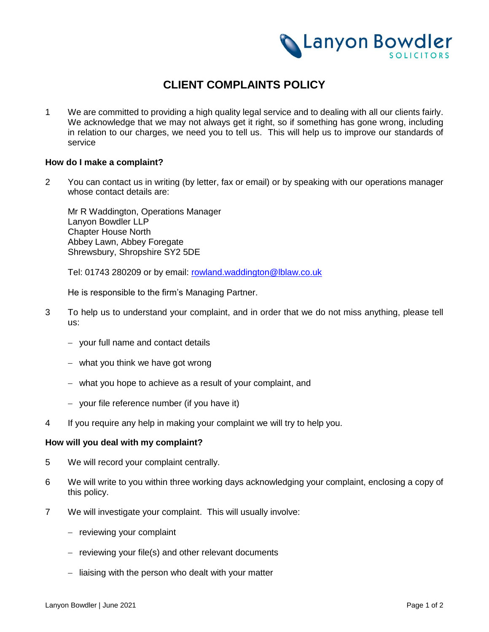

# **CLIENT COMPLAINTS POLICY**

1 We are committed to providing a high quality legal service and to dealing with all our clients fairly. We acknowledge that we may not always get it right, so if something has gone wrong, including in relation to our charges, we need you to tell us. This will help us to improve our standards of service

#### **How do I make a complaint?**

2 You can contact us in writing (by letter, fax or email) or by speaking with our operations manager whose contact details are:

Mr R Waddington, Operations Manager Lanyon Bowdler LLP Chapter House North Abbey Lawn, Abbey Foregate Shrewsbury, Shropshire SY2 5DE

Tel: 01743 280209 or by email: [rowland.waddington@lblaw.co.uk](mailto:rowland.waddington@lblaw.co.uk)

He is responsible to the firm's Managing Partner.

- 3 To help us to understand your complaint, and in order that we do not miss anything, please tell us:
	- your full name and contact details
	- $-$  what you think we have got wrong
	- what you hope to achieve as a result of your complaint, and
	- $-$  your file reference number (if you have it)
- 4 If you require any help in making your complaint we will try to help you.

#### **How will you deal with my complaint?**

- 5 We will record your complaint centrally.
- 6 We will write to you within three working days acknowledging your complaint, enclosing a copy of this policy.
- 7 We will investigate your complaint. This will usually involve:
	- $-$  reviewing your complaint
	- $-$  reviewing your file(s) and other relevant documents
	- $-$  liaising with the person who dealt with your matter